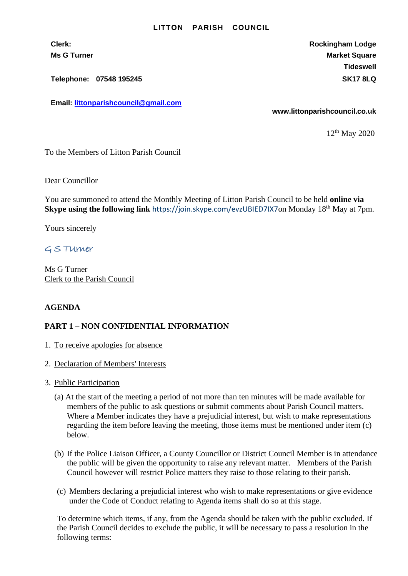## **LITTON PARISH COUNCIL**

**Clerk: Rockingham Lodge Ms G Turner Market Square** Market Square Market Square Market Square **Tideswell**

**Telephone: 07548 195245 SK17 8LQ**

**Email: [littonparishcouncil@gmail.com](mailto:littonparishcouncil@gmail.com)**

**www.littonparishcouncil.co.uk**

12 th May 2020

## To the Members of Litton Parish Council

Dear Councillor

You are summoned to attend the Monthly Meeting of Litton Parish Council to be held **online via Skype using the following link** <https://join.skype.com/evzUBIED7IX7>on Monday 18<sup>th</sup> May at 7pm.

Yours sincerely

G S TUrner

Ms G Turner Clerk to the Parish Council

## **AGENDA**

## **PART 1 – NON CONFIDENTIAL INFORMATION**

- 1. To receive apologies for absence
- 2. Declaration of Members' Interests
- 3. Public Participation
	- (a) At the start of the meeting a period of not more than ten minutes will be made available for members of the public to ask questions or submit comments about Parish Council matters. Where a Member indicates they have a prejudicial interest, but wish to make representations regarding the item before leaving the meeting, those items must be mentioned under item (c) below.
	- (b) If the Police Liaison Officer, a County Councillor or District Council Member is in attendance the public will be given the opportunity to raise any relevant matter. Members of the Parish Council however will restrict Police matters they raise to those relating to their parish.
	- (c) Members declaring a prejudicial interest who wish to make representations or give evidence under the Code of Conduct relating to Agenda items shall do so at this stage.

To determine which items, if any, from the Agenda should be taken with the public excluded. If the Parish Council decides to exclude the public, it will be necessary to pass a resolution in the following terms: